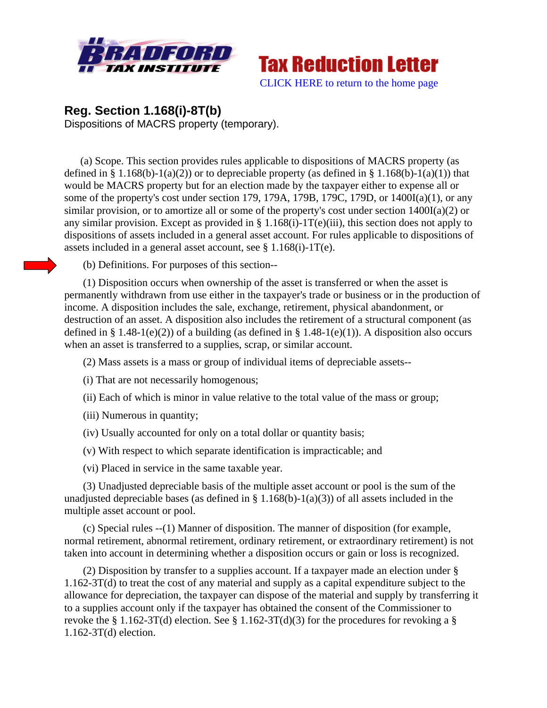



# **Reg. Section 1.168(i)-8T(b)**  Dispositions of MACRS property (temporary).

(a) Scope. This section provides rules applicable to dispositions of MACRS property (as defined in § 1.168(b)-1(a)(2)) or to depreciable property (as defined in § 1.168(b)-1(a)(1)) that would be MACRS property but for an election made by the taxpayer either to expense all or some of the property's cost under section 179, 179A, 179B, 179C, 179D, or  $1400I(a)(1)$ , or any similar provision, or to amortize all or some of the property's cost under section 1400I(a)(2) or any similar provision. Except as provided in § 1.168(i)-1T(e)(iii), this section does not apply to dispositions of assets included in a general asset account. For rules applicable to dispositions of assets included in a general asset account, see § 1.168(i)-1T(e).

(b) Definitions. For purposes of this section--

 (1) Disposition occurs when ownership of the asset is transferred or when the asset is permanently withdrawn from use either in the taxpayer's trade or business or in the production of income. A disposition includes the sale, exchange, retirement, physical abandonment, or destruction of an asset. A disposition also includes the retirement of a structural component (as defined in § 1.48-1(e)(2)) of a building (as defined in § 1.48-1(e)(1)). A disposition also occurs when an asset is transferred to a supplies, scrap, or similar account.

(2) Mass assets is a mass or group of individual items of depreciable assets--

(i) That are not necessarily homogenous;

- (ii) Each of which is minor in value relative to the total value of the mass or group;
- (iii) Numerous in quantity;
- (iv) Usually accounted for only on a total dollar or quantity basis;
- (v) With respect to which separate identification is impracticable; and

(vi) Placed in service in the same taxable year.

 (3) Unadjusted depreciable basis of the multiple asset account or pool is the sum of the unadjusted depreciable bases (as defined in § 1.168(b)-1(a)(3)) of all assets included in the multiple asset account or pool.

 (c) Special rules --(1) Manner of disposition. The manner of disposition (for example, normal retirement, abnormal retirement, ordinary retirement, or extraordinary retirement) is not taken into account in determining whether a disposition occurs or gain or loss is recognized.

 (2) Disposition by transfer to a supplies account. If a taxpayer made an election under § 1.162-3T(d) to treat the cost of any material and supply as a capital expenditure subject to the allowance for depreciation, the taxpayer can dispose of the material and supply by transferring it to a supplies account only if the taxpayer has obtained the consent of the Commissioner to revoke the § 1.162-3T(d) election. See § 1.162-3T(d)(3) for the procedures for revoking a § 1.162-3T(d) election.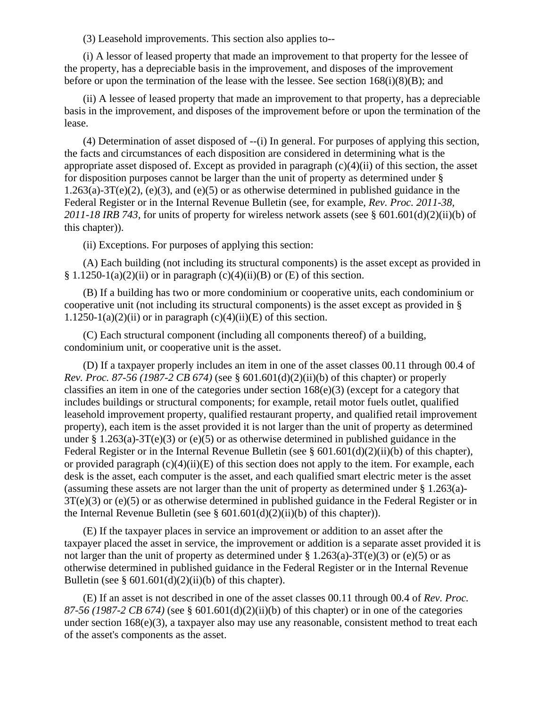(3) Leasehold improvements. This section also applies to--

 (i) A lessor of leased property that made an improvement to that property for the lessee of the property, has a depreciable basis in the improvement, and disposes of the improvement before or upon the termination of the lease with the lessee. See section  $168(i)(8)(B)$ ; and

 (ii) A lessee of leased property that made an improvement to that property, has a depreciable basis in the improvement, and disposes of the improvement before or upon the termination of the lease.

 (4) Determination of asset disposed of --(i) In general. For purposes of applying this section, the facts and circumstances of each disposition are considered in determining what is the appropriate asset disposed of. Except as provided in paragraph (c)(4)(ii) of this section, the asset for disposition purposes cannot be larger than the unit of property as determined under §  $1.263(a)-3T(e)(2)$ , (e)(3), and (e)(5) or as otherwise determined in published guidance in the Federal Register or in the Internal Revenue Bulletin (see, for example, *Rev. Proc. 2011-38, 2011-18 IRB 743,* for units of property for wireless network assets (see § 601.601(d)(2)(ii)(b) of this chapter)).

(ii) Exceptions. For purposes of applying this section:

 (A) Each building (not including its structural components) is the asset except as provided in § 1.1250-1(a)(2)(ii) or in paragraph (c)(4)(ii)(B) or (E) of this section.

 (B) If a building has two or more condominium or cooperative units, each condominium or cooperative unit (not including its structural components) is the asset except as provided in § 1.1250-1(a)(2)(ii) or in paragraph (c)(4)(ii)(E) of this section.

 (C) Each structural component (including all components thereof) of a building, condominium unit, or cooperative unit is the asset.

 (D) If a taxpayer properly includes an item in one of the asset classes 00.11 through 00.4 of *Rev. Proc. 87-56 (1987-2 CB 674)* (see § 601.601(d)(2)(ii)(b) of this chapter) or properly classifies an item in one of the categories under section  $168(e)(3)$  (except for a category that includes buildings or structural components; for example, retail motor fuels outlet, qualified leasehold improvement property, qualified restaurant property, and qualified retail improvement property), each item is the asset provided it is not larger than the unit of property as determined under § 1.263(a)-3T(e)(3) or (e)(5) or as otherwise determined in published guidance in the Federal Register or in the Internal Revenue Bulletin (see  $\S 601.601(d)(2)(ii)(b)$  of this chapter), or provided paragraph  $(c)(4)(ii)(E)$  of this section does not apply to the item. For example, each desk is the asset, each computer is the asset, and each qualified smart electric meter is the asset (assuming these assets are not larger than the unit of property as determined under § 1.263(a)- 3T(e)(3) or (e)(5) or as otherwise determined in published guidance in the Federal Register or in the Internal Revenue Bulletin (see §  $601.601(d)(2)(ii)(b)$  of this chapter)).

 (E) If the taxpayer places in service an improvement or addition to an asset after the taxpayer placed the asset in service, the improvement or addition is a separate asset provided it is not larger than the unit of property as determined under  $\S 1.263(a) - 3T(e)(3)$  or (e)(5) or as otherwise determined in published guidance in the Federal Register or in the Internal Revenue Bulletin (see  $\S 601.601(d)(2)(ii)(b)$  of this chapter).

 (E) If an asset is not described in one of the asset classes 00.11 through 00.4 of *Rev. Proc. 87-56 (1987-2 CB 674)* (see § 601.601(d)(2)(ii)(b) of this chapter) or in one of the categories under section 168(e)(3), a taxpayer also may use any reasonable, consistent method to treat each of the asset's components as the asset.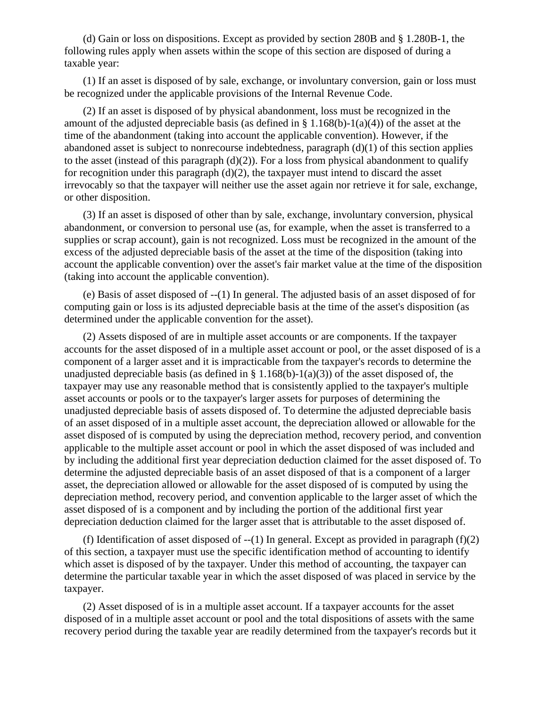(d) Gain or loss on dispositions. Except as provided by section 280B and § 1.280B-1, the following rules apply when assets within the scope of this section are disposed of during a taxable year:

 (1) If an asset is disposed of by sale, exchange, or involuntary conversion, gain or loss must be recognized under the applicable provisions of the Internal Revenue Code.

 (2) If an asset is disposed of by physical abandonment, loss must be recognized in the amount of the adjusted depreciable basis (as defined in § 1.168(b)-1(a)(4)) of the asset at the time of the abandonment (taking into account the applicable convention). However, if the abandoned asset is subject to nonrecourse indebtedness, paragraph  $(d)(1)$  of this section applies to the asset (instead of this paragraph  $(d)(2)$ ). For a loss from physical abandonment to qualify for recognition under this paragraph  $(d)(2)$ , the taxpayer must intend to discard the asset irrevocably so that the taxpayer will neither use the asset again nor retrieve it for sale, exchange, or other disposition.

 (3) If an asset is disposed of other than by sale, exchange, involuntary conversion, physical abandonment, or conversion to personal use (as, for example, when the asset is transferred to a supplies or scrap account), gain is not recognized. Loss must be recognized in the amount of the excess of the adjusted depreciable basis of the asset at the time of the disposition (taking into account the applicable convention) over the asset's fair market value at the time of the disposition (taking into account the applicable convention).

 (e) Basis of asset disposed of --(1) In general. The adjusted basis of an asset disposed of for computing gain or loss is its adjusted depreciable basis at the time of the asset's disposition (as determined under the applicable convention for the asset).

 (2) Assets disposed of are in multiple asset accounts or are components. If the taxpayer accounts for the asset disposed of in a multiple asset account or pool, or the asset disposed of is a component of a larger asset and it is impracticable from the taxpayer's records to determine the unadjusted depreciable basis (as defined in § 1.168(b)-1(a)(3)) of the asset disposed of, the taxpayer may use any reasonable method that is consistently applied to the taxpayer's multiple asset accounts or pools or to the taxpayer's larger assets for purposes of determining the unadjusted depreciable basis of assets disposed of. To determine the adjusted depreciable basis of an asset disposed of in a multiple asset account, the depreciation allowed or allowable for the asset disposed of is computed by using the depreciation method, recovery period, and convention applicable to the multiple asset account or pool in which the asset disposed of was included and by including the additional first year depreciation deduction claimed for the asset disposed of. To determine the adjusted depreciable basis of an asset disposed of that is a component of a larger asset, the depreciation allowed or allowable for the asset disposed of is computed by using the depreciation method, recovery period, and convention applicable to the larger asset of which the asset disposed of is a component and by including the portion of the additional first year depreciation deduction claimed for the larger asset that is attributable to the asset disposed of.

(f) Identification of asset disposed of  $-(1)$  In general. Except as provided in paragraph (f)(2) of this section, a taxpayer must use the specific identification method of accounting to identify which asset is disposed of by the taxpayer. Under this method of accounting, the taxpayer can determine the particular taxable year in which the asset disposed of was placed in service by the taxpayer.

 (2) Asset disposed of is in a multiple asset account. If a taxpayer accounts for the asset disposed of in a multiple asset account or pool and the total dispositions of assets with the same recovery period during the taxable year are readily determined from the taxpayer's records but it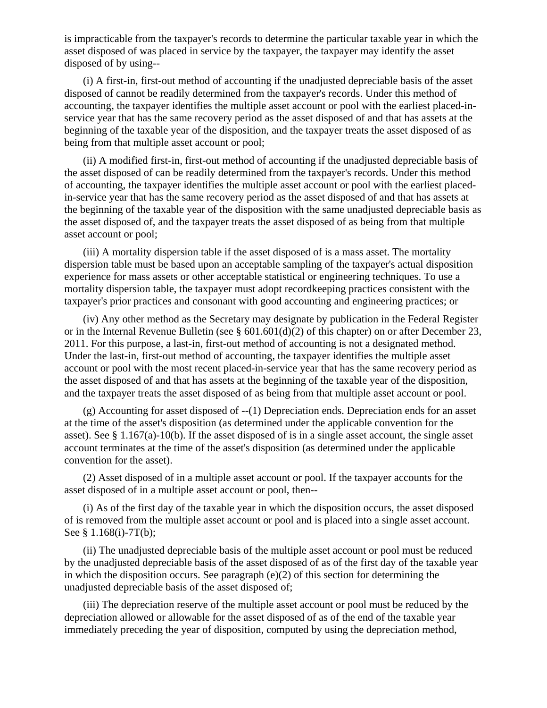is impracticable from the taxpayer's records to determine the particular taxable year in which the asset disposed of was placed in service by the taxpayer, the taxpayer may identify the asset disposed of by using--

 (i) A first-in, first-out method of accounting if the unadjusted depreciable basis of the asset disposed of cannot be readily determined from the taxpayer's records. Under this method of accounting, the taxpayer identifies the multiple asset account or pool with the earliest placed-inservice year that has the same recovery period as the asset disposed of and that has assets at the beginning of the taxable year of the disposition, and the taxpayer treats the asset disposed of as being from that multiple asset account or pool;

 (ii) A modified first-in, first-out method of accounting if the unadjusted depreciable basis of the asset disposed of can be readily determined from the taxpayer's records. Under this method of accounting, the taxpayer identifies the multiple asset account or pool with the earliest placedin-service year that has the same recovery period as the asset disposed of and that has assets at the beginning of the taxable year of the disposition with the same unadjusted depreciable basis as the asset disposed of, and the taxpayer treats the asset disposed of as being from that multiple asset account or pool;

 (iii) A mortality dispersion table if the asset disposed of is a mass asset. The mortality dispersion table must be based upon an acceptable sampling of the taxpayer's actual disposition experience for mass assets or other acceptable statistical or engineering techniques. To use a mortality dispersion table, the taxpayer must adopt recordkeeping practices consistent with the taxpayer's prior practices and consonant with good accounting and engineering practices; or

 (iv) Any other method as the Secretary may designate by publication in the Federal Register or in the Internal Revenue Bulletin (see § 601.601(d)(2) of this chapter) on or after December 23, 2011. For this purpose, a last-in, first-out method of accounting is not a designated method. Under the last-in, first-out method of accounting, the taxpayer identifies the multiple asset account or pool with the most recent placed-in-service year that has the same recovery period as the asset disposed of and that has assets at the beginning of the taxable year of the disposition, and the taxpayer treats the asset disposed of as being from that multiple asset account or pool.

 (g) Accounting for asset disposed of --(1) Depreciation ends. Depreciation ends for an asset at the time of the asset's disposition (as determined under the applicable convention for the asset). See § 1.167(a)-10(b). If the asset disposed of is in a single asset account, the single asset account terminates at the time of the asset's disposition (as determined under the applicable convention for the asset).

 (2) Asset disposed of in a multiple asset account or pool. If the taxpayer accounts for the asset disposed of in a multiple asset account or pool, then--

 (i) As of the first day of the taxable year in which the disposition occurs, the asset disposed of is removed from the multiple asset account or pool and is placed into a single asset account. See § 1.168(i)-7T(b);

 (ii) The unadjusted depreciable basis of the multiple asset account or pool must be reduced by the unadjusted depreciable basis of the asset disposed of as of the first day of the taxable year in which the disposition occurs. See paragraph (e)(2) of this section for determining the unadjusted depreciable basis of the asset disposed of;

 (iii) The depreciation reserve of the multiple asset account or pool must be reduced by the depreciation allowed or allowable for the asset disposed of as of the end of the taxable year immediately preceding the year of disposition, computed by using the depreciation method,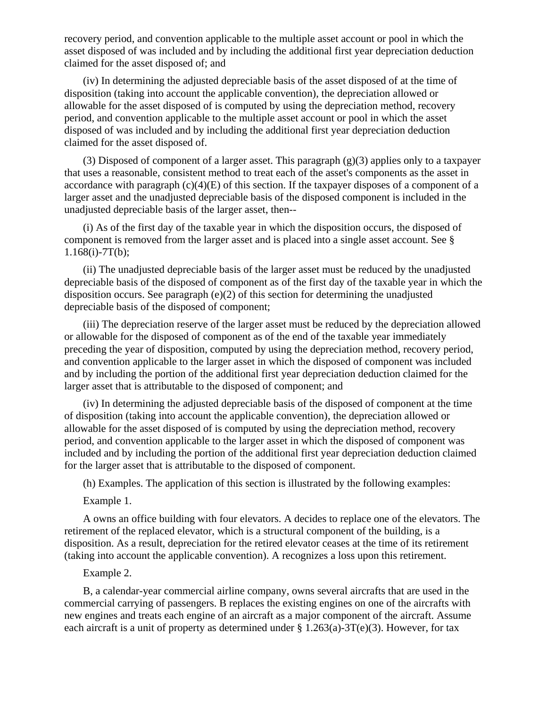recovery period, and convention applicable to the multiple asset account or pool in which the asset disposed of was included and by including the additional first year depreciation deduction claimed for the asset disposed of; and

 (iv) In determining the adjusted depreciable basis of the asset disposed of at the time of disposition (taking into account the applicable convention), the depreciation allowed or allowable for the asset disposed of is computed by using the depreciation method, recovery period, and convention applicable to the multiple asset account or pool in which the asset disposed of was included and by including the additional first year depreciation deduction claimed for the asset disposed of.

 (3) Disposed of component of a larger asset. This paragraph (g)(3) applies only to a taxpayer that uses a reasonable, consistent method to treat each of the asset's components as the asset in accordance with paragraph  $(c)(4)(E)$  of this section. If the taxpayer disposes of a component of a larger asset and the unadjusted depreciable basis of the disposed component is included in the unadjusted depreciable basis of the larger asset, then--

 (i) As of the first day of the taxable year in which the disposition occurs, the disposed of component is removed from the larger asset and is placed into a single asset account. See §  $1.168(i) - 7T(b);$ 

 (ii) The unadjusted depreciable basis of the larger asset must be reduced by the unadjusted depreciable basis of the disposed of component as of the first day of the taxable year in which the disposition occurs. See paragraph (e)(2) of this section for determining the unadjusted depreciable basis of the disposed of component;

 (iii) The depreciation reserve of the larger asset must be reduced by the depreciation allowed or allowable for the disposed of component as of the end of the taxable year immediately preceding the year of disposition, computed by using the depreciation method, recovery period, and convention applicable to the larger asset in which the disposed of component was included and by including the portion of the additional first year depreciation deduction claimed for the larger asset that is attributable to the disposed of component; and

 (iv) In determining the adjusted depreciable basis of the disposed of component at the time of disposition (taking into account the applicable convention), the depreciation allowed or allowable for the asset disposed of is computed by using the depreciation method, recovery period, and convention applicable to the larger asset in which the disposed of component was included and by including the portion of the additional first year depreciation deduction claimed for the larger asset that is attributable to the disposed of component.

(h) Examples. The application of this section is illustrated by the following examples:

Example 1.

 A owns an office building with four elevators. A decides to replace one of the elevators. The retirement of the replaced elevator, which is a structural component of the building, is a disposition. As a result, depreciation for the retired elevator ceases at the time of its retirement (taking into account the applicable convention). A recognizes a loss upon this retirement.

### Example 2.

 B, a calendar-year commercial airline company, owns several aircrafts that are used in the commercial carrying of passengers. B replaces the existing engines on one of the aircrafts with new engines and treats each engine of an aircraft as a major component of the aircraft. Assume each aircraft is a unit of property as determined under  $\S 1.263(a)$ -3T(e)(3). However, for tax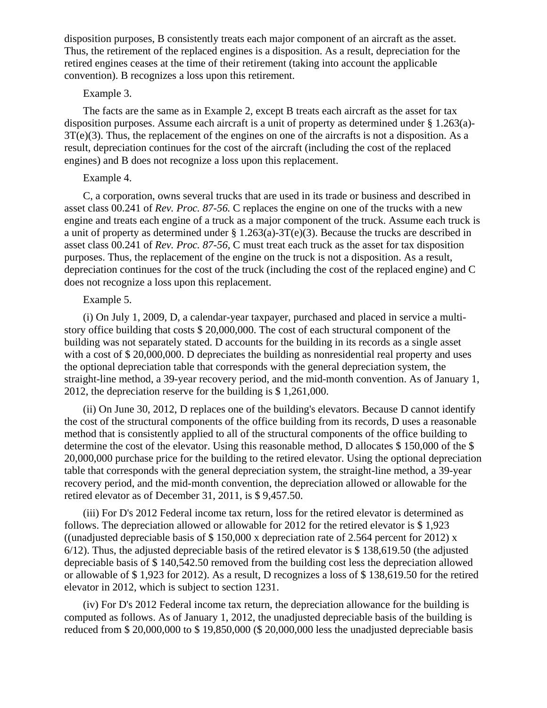disposition purposes, B consistently treats each major component of an aircraft as the asset. Thus, the retirement of the replaced engines is a disposition. As a result, depreciation for the retired engines ceases at the time of their retirement (taking into account the applicable convention). B recognizes a loss upon this retirement.

### Example 3.

 The facts are the same as in Example 2, except B treats each aircraft as the asset for tax disposition purposes. Assume each aircraft is a unit of property as determined under  $\S 1.263(a)$ -3T(e)(3). Thus, the replacement of the engines on one of the aircrafts is not a disposition. As a result, depreciation continues for the cost of the aircraft (including the cost of the replaced engines) and B does not recognize a loss upon this replacement.

## Example 4.

 C, a corporation, owns several trucks that are used in its trade or business and described in asset class 00.241 of *Rev. Proc. 87-56.* C replaces the engine on one of the trucks with a new engine and treats each engine of a truck as a major component of the truck. Assume each truck is a unit of property as determined under § 1.263(a)-3T(e)(3). Because the trucks are described in asset class 00.241 of *Rev. Proc. 87-56,* C must treat each truck as the asset for tax disposition purposes. Thus, the replacement of the engine on the truck is not a disposition. As a result, depreciation continues for the cost of the truck (including the cost of the replaced engine) and C does not recognize a loss upon this replacement.

### Example 5.

 (i) On July 1, 2009, D, a calendar-year taxpayer, purchased and placed in service a multistory office building that costs \$ 20,000,000. The cost of each structural component of the building was not separately stated. D accounts for the building in its records as a single asset with a cost of \$20,000,000. D depreciates the building as nonresidential real property and uses the optional depreciation table that corresponds with the general depreciation system, the straight-line method, a 39-year recovery period, and the mid-month convention. As of January 1, 2012, the depreciation reserve for the building is \$ 1,261,000.

 (ii) On June 30, 2012, D replaces one of the building's elevators. Because D cannot identify the cost of the structural components of the office building from its records, D uses a reasonable method that is consistently applied to all of the structural components of the office building to determine the cost of the elevator. Using this reasonable method, D allocates \$150,000 of the \$ 20,000,000 purchase price for the building to the retired elevator. Using the optional depreciation table that corresponds with the general depreciation system, the straight-line method, a 39-year recovery period, and the mid-month convention, the depreciation allowed or allowable for the retired elevator as of December 31, 2011, is \$ 9,457.50.

 (iii) For D's 2012 Federal income tax return, loss for the retired elevator is determined as follows. The depreciation allowed or allowable for 2012 for the retired elevator is \$ 1,923 ((unadjusted depreciable basis of  $$150,000$  x depreciation rate of 2.564 percent for 2012) x 6/12). Thus, the adjusted depreciable basis of the retired elevator is \$ 138,619.50 (the adjusted depreciable basis of \$ 140,542.50 removed from the building cost less the depreciation allowed or allowable of \$ 1,923 for 2012). As a result, D recognizes a loss of \$ 138,619.50 for the retired elevator in 2012, which is subject to section 1231.

 (iv) For D's 2012 Federal income tax return, the depreciation allowance for the building is computed as follows. As of January 1, 2012, the unadjusted depreciable basis of the building is reduced from \$ 20,000,000 to \$ 19,850,000 (\$ 20,000,000 less the unadjusted depreciable basis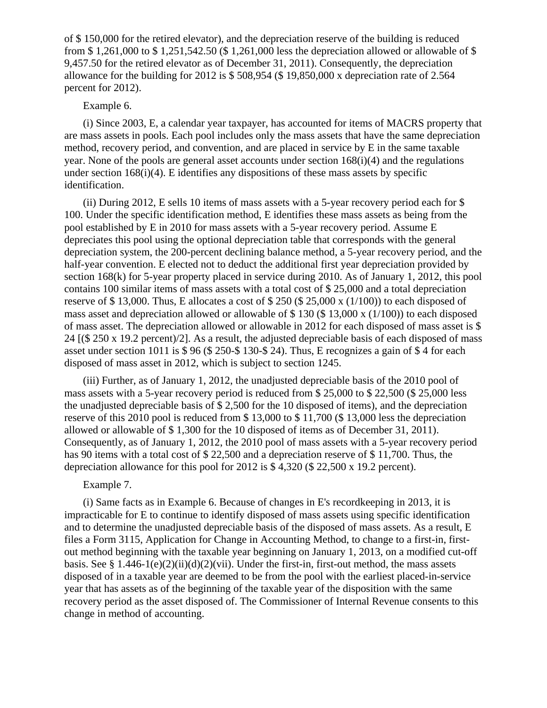of \$ 150,000 for the retired elevator), and the depreciation reserve of the building is reduced from \$ 1,261,000 to \$ 1,251,542.50 (\$ 1,261,000 less the depreciation allowed or allowable of \$ 9,457.50 for the retired elevator as of December 31, 2011). Consequently, the depreciation allowance for the building for 2012 is \$ 508,954 (\$ 19,850,000 x depreciation rate of 2.564 percent for 2012).

## Example 6.

 (i) Since 2003, E, a calendar year taxpayer, has accounted for items of MACRS property that are mass assets in pools. Each pool includes only the mass assets that have the same depreciation method, recovery period, and convention, and are placed in service by E in the same taxable year. None of the pools are general asset accounts under section 168(i)(4) and the regulations under section 168(i)(4). E identifies any dispositions of these mass assets by specific identification.

 (ii) During 2012, E sells 10 items of mass assets with a 5-year recovery period each for \$ 100. Under the specific identification method, E identifies these mass assets as being from the pool established by E in 2010 for mass assets with a 5-year recovery period. Assume E depreciates this pool using the optional depreciation table that corresponds with the general depreciation system, the 200-percent declining balance method, a 5-year recovery period, and the half-year convention. E elected not to deduct the additional first year depreciation provided by section 168(k) for 5-year property placed in service during 2010. As of January 1, 2012, this pool contains 100 similar items of mass assets with a total cost of \$ 25,000 and a total depreciation reserve of \$ 13,000. Thus, E allocates a cost of \$ 250 (\$ 25,000 x (1/100)) to each disposed of mass asset and depreciation allowed or allowable of \$ 130 (\$ 13,000 x (1/100)) to each disposed of mass asset. The depreciation allowed or allowable in 2012 for each disposed of mass asset is \$ 24 [(\$ 250 x 19.2 percent)/2]. As a result, the adjusted depreciable basis of each disposed of mass asset under section 1011 is \$ 96 (\$ 250-\$ 130-\$ 24). Thus, E recognizes a gain of \$ 4 for each disposed of mass asset in 2012, which is subject to section 1245.

 (iii) Further, as of January 1, 2012, the unadjusted depreciable basis of the 2010 pool of mass assets with a 5-year recovery period is reduced from \$ 25,000 to \$ 22,500 (\$ 25,000 less the unadjusted depreciable basis of \$ 2,500 for the 10 disposed of items), and the depreciation reserve of this 2010 pool is reduced from \$ 13,000 to \$ 11,700 (\$ 13,000 less the depreciation allowed or allowable of \$ 1,300 for the 10 disposed of items as of December 31, 2011). Consequently, as of January 1, 2012, the 2010 pool of mass assets with a 5-year recovery period has 90 items with a total cost of \$ 22,500 and a depreciation reserve of \$ 11,700. Thus, the depreciation allowance for this pool for 2012 is \$ 4,320 (\$ 22,500 x 19.2 percent).

#### Example 7.

 (i) Same facts as in Example 6. Because of changes in E's recordkeeping in 2013, it is impracticable for E to continue to identify disposed of mass assets using specific identification and to determine the unadjusted depreciable basis of the disposed of mass assets. As a result, E files a Form 3115, Application for Change in Accounting Method, to change to a first-in, firstout method beginning with the taxable year beginning on January 1, 2013, on a modified cut-off basis. See § 1.446-1(e)(2)(ii)(d)(2)(vii). Under the first-in, first-out method, the mass assets disposed of in a taxable year are deemed to be from the pool with the earliest placed-in-service year that has assets as of the beginning of the taxable year of the disposition with the same recovery period as the asset disposed of. The Commissioner of Internal Revenue consents to this change in method of accounting.